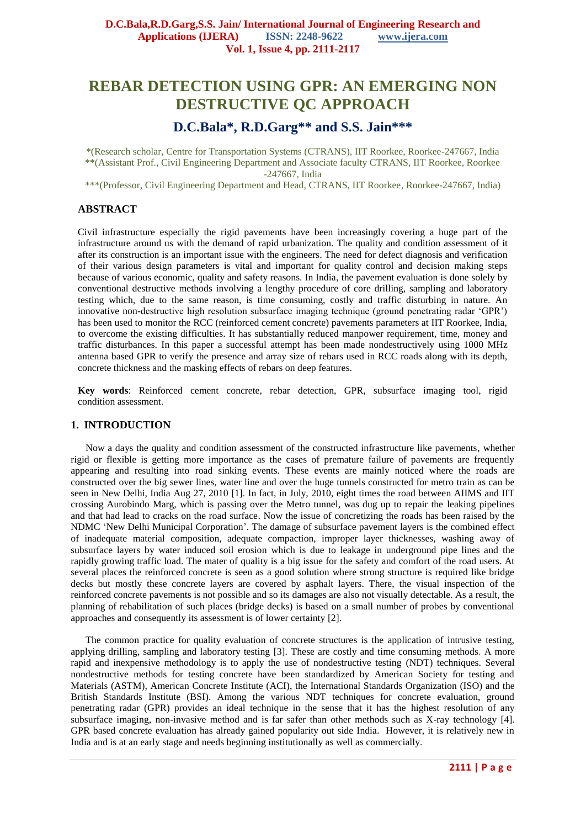# **REBAR DETECTION USING GPR: AN EMERGING NON DESTRUCTIVE QC APPROACH**

## **D.C.Bala\*, R.D.Garg\*\* and S.S. Jain\*\*\***

\*(Research scholar, Centre for Transportation Systems (CTRANS), IIT Roorkee, Roorkee-247667, India \*\*(Assistant Prof., Civil Engineering Department and Associate faculty CTRANS, IIT Roorkee, Roorkee -247667, India

\*\*\*(Professor, Civil Engineering Department and Head, CTRANS, IIT Roorkee, Roorkee-247667, India)

## **ABSTRACT**

Civil infrastructure especially the rigid pavements have been increasingly covering a huge part of the infrastructure around us with the demand of rapid urbanization. The quality and condition assessment of it after its construction is an important issue with the engineers. The need for defect diagnosis and verification of their various design parameters is vital and important for quality control and decision making steps because of various economic, quality and safety reasons. In India, the pavement evaluation is done solely by conventional destructive methods involving a lengthy procedure of core drilling, sampling and laboratory testing which, due to the same reason, is time consuming, costly and traffic disturbing in nature. An innovative non-destructive high resolution subsurface imaging technique (ground penetrating radar 'GPR') has been used to monitor the RCC (reinforced cement concrete) pavements parameters at IIT Roorkee, India, to overcome the existing difficulties. It has substantially reduced manpower requirement, time, money and traffic disturbances. In this paper a successful attempt has been made nondestructively using 1000 MHz antenna based GPR to verify the presence and array size of rebars used in RCC roads along with its depth, concrete thickness and the masking effects of rebars on deep features.

**Key words**: Reinforced cement concrete, rebar detection, GPR, subsurface imaging tool, rigid condition assessment.

## **1. INTRODUCTION**

 Now a days the quality and condition assessment of the constructed infrastructure like pavements, whether rigid or flexible is getting more importance as the cases of premature failure of pavements are frequently appearing and resulting into road sinking events. These events are mainly noticed where the roads are constructed over the big sewer lines, water line and over the huge tunnels constructed for metro train as can be seen in New Delhi, India Aug 27, 2010 [1]. In fact, in July, 2010, eight times the road between AIIMS and IIT crossing Aurobindo Marg, which is passing over the Metro tunnel, was dug up to repair the leaking pipelines and that had lead to cracks on the road surface. Now the issue of concretizing the roads has been raised by the NDMC 'New Delhi Municipal Corporation'. The damage of subsurface pavement layers is the combined effect of inadequate material composition, adequate compaction, improper layer thicknesses, washing away of subsurface layers by water induced soil erosion which is due to leakage in underground pipe lines and the rapidly growing traffic load. The mater of quality is a big issue for the safety and comfort of the road users. At several places the reinforced concrete is seen as a good solution where strong structure is required like bridge decks but mostly these concrete layers are covered by asphalt layers. There, the visual inspection of the reinforced concrete pavements is not possible and so its damages are also not visually detectable. As a result, the planning of rehabilitation of such places (bridge decks) is based on a small number of probes by conventional approaches and consequently its assessment is of lower certainty [2].

 The common practice for quality evaluation of concrete structures is the application of intrusive testing, applying drilling, sampling and laboratory testing [3]. These are costly and time consuming methods. A more rapid and inexpensive methodology is to apply the use of nondestructive testing (NDT) techniques. Several nondestructive methods for testing concrete have been standardized by American Society for testing and Materials (ASTM), American Concrete Institute (ACI), the International Standards Organization (ISO) and the British Standards Institute (BSI). Among the various NDT techniques for concrete evaluation, ground penetrating radar (GPR) provides an ideal technique in the sense that it has the highest resolution of any subsurface imaging, non-invasive method and is far safer than other methods such as X-ray technology [4]. GPR based concrete evaluation has already gained popularity out side India. However, it is relatively new in India and is at an early stage and needs beginning institutionally as well as commercially.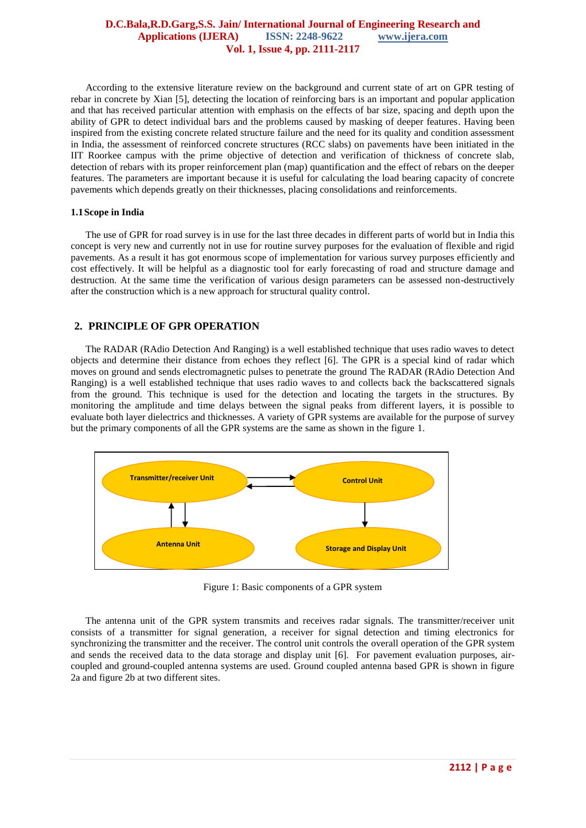According to the extensive literature review on the background and current state of art on GPR testing of rebar in concrete by Xian [5], detecting the location of reinforcing bars is an important and popular application and that has received particular attention with emphasis on the effects of bar size, spacing and depth upon the ability of GPR to detect individual bars and the problems caused by masking of deeper features. Having been inspired from the existing concrete related structure failure and the need for its quality and condition assessment in India, the assessment of reinforced concrete structures (RCC slabs) on pavements have been initiated in the IIT Roorkee campus with the prime objective of detection and verification of thickness of concrete slab, detection of rebars with its proper reinforcement plan (map) quantification and the effect of rebars on the deeper features. The parameters are important because it is useful for calculating the load bearing capacity of concrete pavements which depends greatly on their thicknesses, placing consolidations and reinforcements.

### **1.1Scope in India**

The use of GPR for road survey is in use for the last three decades in different parts of world but in India this concept is very new and currently not in use for routine survey purposes for the evaluation of flexible and rigid pavements. As a result it has got enormous scope of implementation for various survey purposes efficiently and cost effectively. It will be helpful as a diagnostic tool for early forecasting of road and structure damage and destruction. At the same time the verification of various design parameters can be assessed non-destructively after the construction which is a new approach for structural quality control.

## **2. PRINCIPLE OF GPR OPERATION**

 The RADAR (RAdio Detection And Ranging) is a well established technique that uses radio waves to detect objects and determine their distance from echoes they reflect [6]. The GPR is a special kind of radar which moves on ground and sends electromagnetic pulses to penetrate the ground The RADAR (RAdio Detection And Ranging) is a well established technique that uses radio waves to and collects back the backscattered signals from the ground. This technique is used for the detection and locating the targets in the structures. By monitoring the amplitude and time delays between the signal peaks from different layers, it is possible to evaluate both layer dielectrics and thicknesses. A variety of GPR systems are available for the purpose of survey but the primary components of all the GPR systems are the same as shown in the figure 1.



Figure 1: Basic components of a GPR system

 The antenna unit of the GPR system transmits and receives radar signals. The transmitter/receiver unit consists of a transmitter for signal generation, a receiver for signal detection and timing electronics for synchronizing the transmitter and the receiver. The control unit controls the overall operation of the GPR system and sends the received data to the data storage and display unit [6]. For pavement evaluation purposes, aircoupled and ground-coupled antenna systems are used. Ground coupled antenna based GPR is shown in figure 2a and figure 2b at two different sites.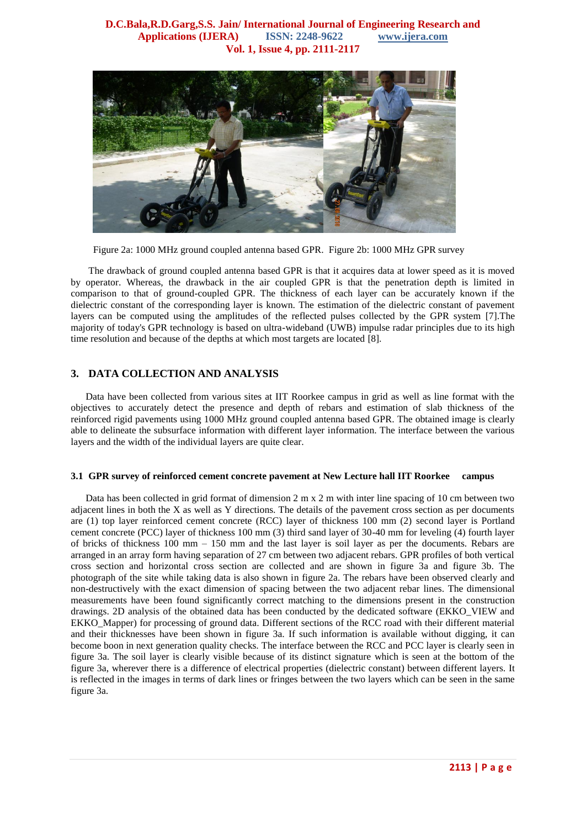

Figure 2a: 1000 MHz ground coupled antenna based GPR. Figure 2b: 1000 MHz GPR survey

The drawback of ground coupled antenna based GPR is that it acquires data at lower speed as it is moved by operator. Whereas, the drawback in the air coupled GPR is that the penetration depth is limited in comparison to that of ground-coupled GPR. The thickness of each layer can be accurately known if the dielectric constant of the corresponding layer is known. The estimation of the dielectric constant of pavement layers can be computed using the amplitudes of the reflected pulses collected by the GPR system [7].The majority of today's GPR technology is based on ultra-wideband (UWB) impulse radar principles due to its high time resolution and because of the depths at which most targets are located [8].

## **3. DATA COLLECTION AND ANALYSIS**

 Data have been collected from various sites at IIT Roorkee campus in grid as well as line format with the objectives to accurately detect the presence and depth of rebars and estimation of slab thickness of the reinforced rigid pavements using 1000 MHz ground coupled antenna based GPR. The obtained image is clearly able to delineate the subsurface information with different layer information. The interface between the various layers and the width of the individual layers are quite clear.

#### **3.1 GPR survey of reinforced cement concrete pavement at New Lecture hall IIT Roorkee campus**

 Data has been collected in grid format of dimension 2 m x 2 m with inter line spacing of 10 cm between two adjacent lines in both the X as well as Y directions. The details of the pavement cross section as per documents are (1) top layer reinforced cement concrete (RCC) layer of thickness 100 mm (2) second layer is Portland cement concrete (PCC) layer of thickness 100 mm (3) third sand layer of 30-40 mm for leveling (4) fourth layer of bricks of thickness 100 mm – 150 mm and the last layer is soil layer as per the documents. Rebars are arranged in an array form having separation of 27 cm between two adjacent rebars. GPR profiles of both vertical cross section and horizontal cross section are collected and are shown in figure 3a and figure 3b. The photograph of the site while taking data is also shown in figure 2a. The rebars have been observed clearly and non-destructively with the exact dimension of spacing between the two adjacent rebar lines. The dimensional measurements have been found significantly correct matching to the dimensions present in the construction drawings. 2D analysis of the obtained data has been conducted by the dedicated software (EKKO\_VIEW and EKKO\_Mapper) for processing of ground data. Different sections of the RCC road with their different material and their thicknesses have been shown in figure 3a. If such information is available without digging, it can become boon in next generation quality checks. The interface between the RCC and PCC layer is clearly seen in figure 3a. The soil layer is clearly visible because of its distinct signature which is seen at the bottom of the figure 3a, wherever there is a difference of electrical properties (dielectric constant) between different layers. It is reflected in the images in terms of dark lines or fringes between the two layers which can be seen in the same figure 3a.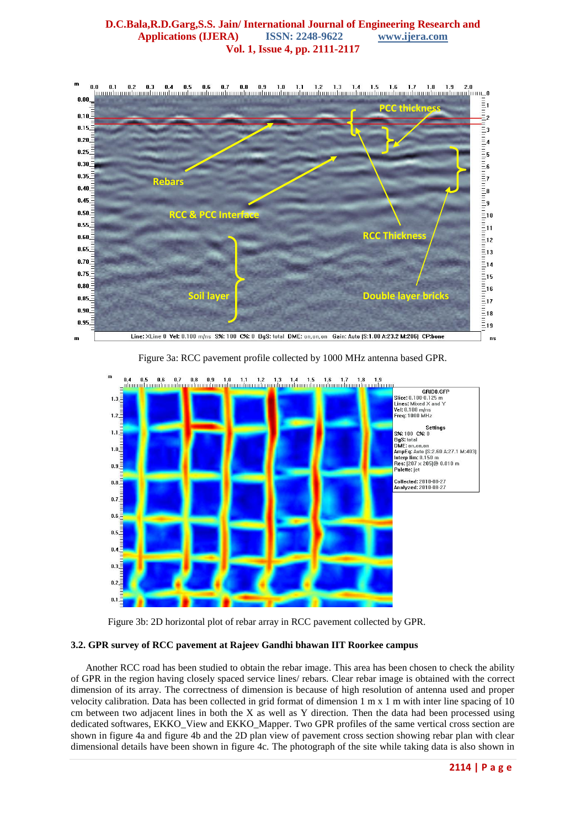

Figure 3a: RCC pavement profile collected by 1000 MHz antenna based GPR.





#### **3.2. GPR survey of RCC pavement at Rajeev Gandhi bhawan IIT Roorkee campus**

 Another RCC road has been studied to obtain the rebar image. This area has been chosen to check the ability of GPR in the region having closely spaced service lines/ rebars. Clear rebar image is obtained with the correct dimension of its array. The correctness of dimension is because of high resolution of antenna used and proper velocity calibration. Data has been collected in grid format of dimension 1 m x 1 m with inter line spacing of 10 cm between two adjacent lines in both the X as well as Y direction. Then the data had been processed using dedicated softwares, EKKO\_View and EKKO\_Mapper. Two GPR profiles of the same vertical cross section are shown in figure 4a and figure 4b and the 2D plan view of pavement cross section showing rebar plan with clear dimensional details have been shown in figure 4c. The photograph of the site while taking data is also shown in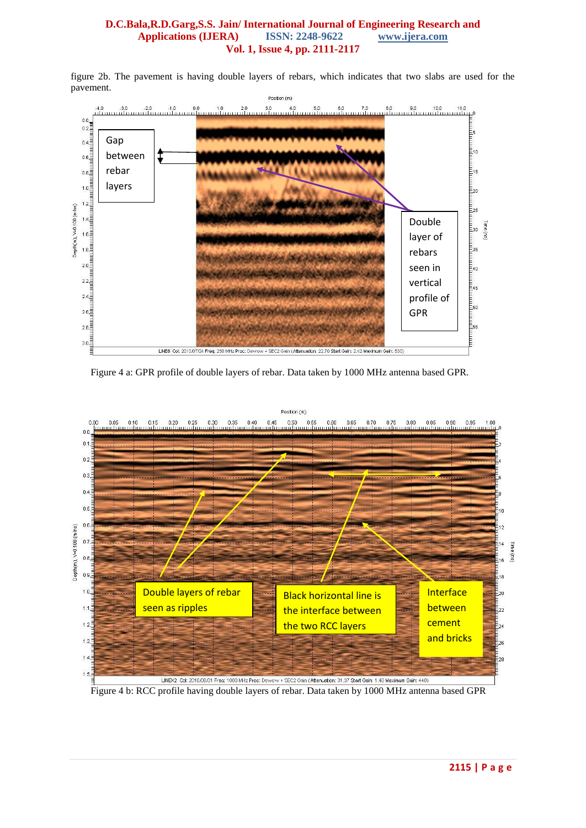figure 2b. The pavement is having double layers of rebars, which indicates that two slabs are used for the pavement.



Figure 4 a: GPR profile of double layers of rebar. Data taken by 1000 MHz antenna based GPR.



Figure 4 b: RCC profile having double layers of rebar. Data taken by 1000 MHz antenna based GPR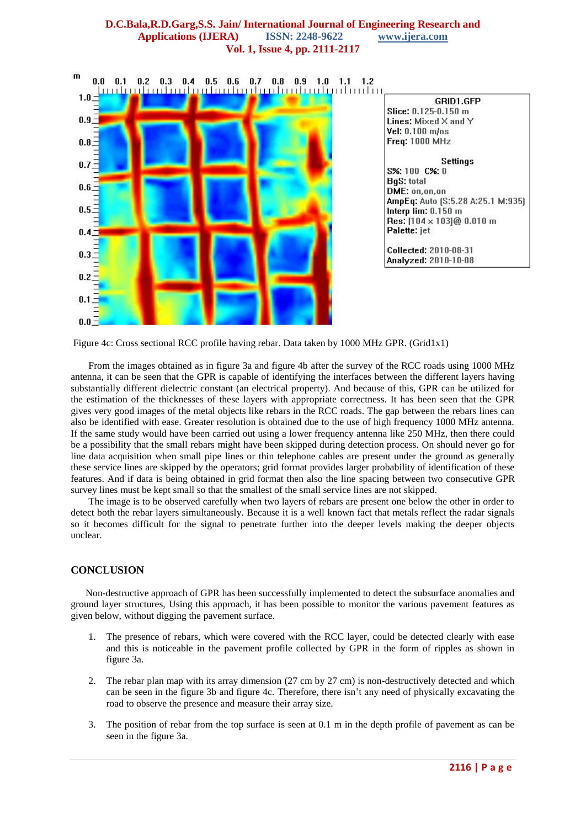

Figure 4c: Cross sectional RCC profile having rebar. Data taken by 1000 MHz GPR. (Grid1x1)

From the images obtained as in figure 3a and figure 4b after the survey of the RCC roads using 1000 MHz antenna, it can be seen that the GPR is capable of identifying the interfaces between the different layers having substantially different dielectric constant (an electrical property). And because of this, GPR can be utilized for the estimation of the thicknesses of these layers with appropriate correctness. It has been seen that the GPR gives very good images of the metal objects like rebars in the RCC roads. The gap between the rebars lines can also be identified with ease. Greater resolution is obtained due to the use of high frequency 1000 MHz antenna. If the same study would have been carried out using a lower frequency antenna like 250 MHz, then there could be a possibility that the small rebars might have been skipped during detection process. On should never go for line data acquisition when small pipe lines or thin telephone cables are present under the ground as generally these service lines are skipped by the operators; grid format provides larger probability of identification of these features. And if data is being obtained in grid format then also the line spacing between two consecutive GPR survey lines must be kept small so that the smallest of the small service lines are not skipped.

The image is to be observed carefully when two layers of rebars are present one below the other in order to detect both the rebar layers simultaneously. Because it is a well known fact that metals reflect the radar signals so it becomes difficult for the signal to penetrate further into the deeper levels making the deeper objects unclear.

## **CONCLUSION**

 Non-destructive approach of GPR has been successfully implemented to detect the subsurface anomalies and ground layer structures, Using this approach, it has been possible to monitor the various pavement features as given below, without digging the pavement surface.

- 1. The presence of rebars, which were covered with the RCC layer, could be detected clearly with ease and this is noticeable in the pavement profile collected by GPR in the form of ripples as shown in figure 3a.
- 2. The rebar plan map with its array dimension (27 cm by 27 cm) is non-destructively detected and which can be seen in the figure 3b and figure 4c. Therefore, there isn't any need of physically excavating the road to observe the presence and measure their array size.
- 3. The position of rebar from the top surface is seen at 0.1 m in the depth profile of pavement as can be seen in the figure 3a.